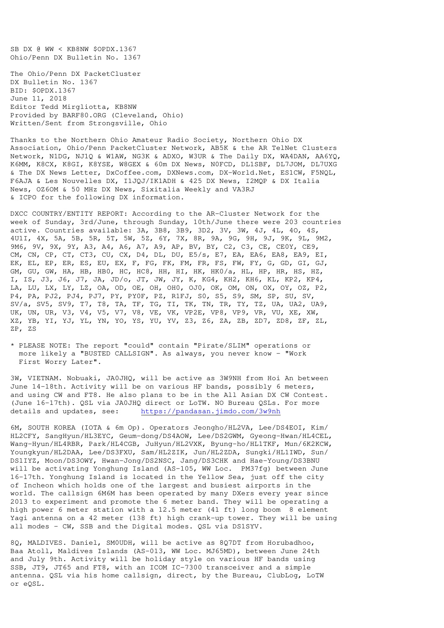SB DX @ WW < KB8NW \$OPDX.1367 Ohio/Penn DX Bulletin No. 1367

The Ohio/Penn DX PacketCluster DX Bulletin No. 1367 BID: \$OPDX.1367 June 11, 2018 Editor Tedd Mirgliotta, KB8NW Provided by BARF80.ORG (Cleveland, Ohio) Written/Sent from Strongsville, Ohio

Thanks to the Northern Ohio Amateur Radio Society, Northern Ohio DX Association, Ohio/Penn PacketCluster Network, AB5K & the AR TelNet Clusters Network, N1DG, NJ1Q & W1AW, NG3K & ADXO, W3UR & The Daily DX, WA4DAN, AA6YQ, K6MM, K8CX, K8GI, K8YSE, W8GEX & 60m DX News, N0FCD, DL1SBF, DL7JOM, DL7UXG & The DX News Letter, DxCoffee.com, DXNews.com, DX-World.Net, ES1CW, F5NQL, F6AJA & Les Nouvelles DX, I1JQJ/IK1ADH & 425 DX News, I2MQP & DX Italia News, OZ6OM & 50 MHz DX News, Sixitalia Weekly and VA3RJ & ICPO for the following DX information.

DXCC COUNTRY/ENTITY REPORT: According to the AR-Cluster Network for the week of Sunday, 3rd/June, through Sunday, 10th/June there were 203 countries active. Countries available: 3A, 3B8, 3B9, 3D2, 3V, 3W, 4J, 4L, 4O, 4S, 4U1I, 4X, 5A, 5B, 5R, 5T, 5W, 5Z, 6Y, 7X, 8R, 9A, 9G, 9H, 9J, 9K, 9L, 9M2, 9M6, 9V, 9X, 9Y, A3, A4, A6, A7, A9, AP, BV, BY, C2, C3, CE, CE0Y, CE9, CM, CN, CP, CT, CT3, CU, CX, D4, DL, DU, E5/s, E7, EA, EA6, EA8, EA9, EI, EK, EL, EP, ER, ES, EU, EX, F, FG, FK, FM, FR, FS, FW, FY, G, GD, GI, GJ, GM, GU, GW, HA, HB, HB0, HC, HC8, HH, HI, HK, HK0/a, HL, HP, HR, HS, HZ, I, IS, J3, J6, J7, JA, JD/o, JT, JW, JY, K, KG4, KH2, KH6, KL, KP2, KP4, LA, LU, LX, LY, LZ, OA, OD, OE, OH, OH0, OJ0, OK, OM, ON, OX, OY, OZ, P2, P4, PA, PJ2, PJ4, PJ7, PY, PY0F, PZ, R1FJ, S0, S5, S9, SM, SP, SU, SV, SV/a, SV5, SV9, T7, T8, TA, TF, TG, TI, TK, TN, TR, TY, TZ, UA, UA2, UA9, UK, UN, UR, V3, V4, V5, V7, V8, VE, VK, VP2E, VP8, VP9, VR, VU, XE, XW, XZ, YB, YI, YJ, YL, YN, YO, YS, YU, YV, Z3, Z6, ZA, ZB, ZD7, ZD8, ZF, ZL, ZP, ZS

\* PLEASE NOTE: The report "could" contain "Pirate/SLIM" operations or more likely a "BUSTED CALLSIGN". As always, you never know - "Work First Worry Later".

3W, VIETNAM. Nobuaki, JA0JHQ, will be active as 3W9NH from Hoi An between June 14-18th. Activity will be on various HF bands, possibly 6 meters, and using CW and FT8. He also plans to be in the All Asian DX CW Contest. (June 16-17th). QSL via JA0JHQ direct or LoTW. NO Bureau QSLs. For more details and updates, see: https://pandasan.jimdo.com/3w9nh

6M, SOUTH KOREA (IOTA & 6m Op). Operators Jeongho/HL2VA, Lee/DS4EOI, Kim/ HL2CFY, SangHyun/HL3EYC, Geum-dong/DS4AOW, Lee/DS2GWM, Gyeong-Hwan/HL4CEL, Wang-Hyun/HL4RBR, Park/HL4CGB, JuHyun/HL2VXK, Byung-ho/HL1TKF, Mun/6K2KCW, Youngkyun/HL2DAA, Lee/DS3FXU, Sam/HL2ZIK, Jun/HL2ZDA, Sungki/HL1IWD, Sun/ DS1IYZ, Moon/DS3OWY, Hwan-Jong/DS2NSC, Jang/DS3CHK and Hae-Young/DS3BNU will be activating Yonghung Island (AS-105, WW Loc. PM37fg) between June 16-17th. Yonghung Island is located in the Yellow Sea, just off the city of Incheon which holds one of the largest and busiest airports in the world. The callsign 6M6M has been operated by many DXers every year since 2013 to experiment and promote the 6 meter band. They will be operating a high power 6 meter station with a 12.5 meter (41 ft) long boom 8 element Yagi antenna on a 42 meter (138 ft) high crank-up tower. They will be using all modes - CW, SSB and the Digital modes. QSL via DS1SYV.

8Q, MALDIVES. Daniel, SM0UDH, will be active as 8Q7DT from Horubadhoo, Baa Atoll, Maldives Islands (AS-013, WW Loc. MJ65MD), between June 24th and July 9th. Activity will be holiday style on various HF bands using SSB, JT9, JT65 and FT8, with an ICOM IC-7300 transceiver and a simple antenna. QSL via his home callsign, direct, by the Bureau, ClubLog, LoTW or eQSL.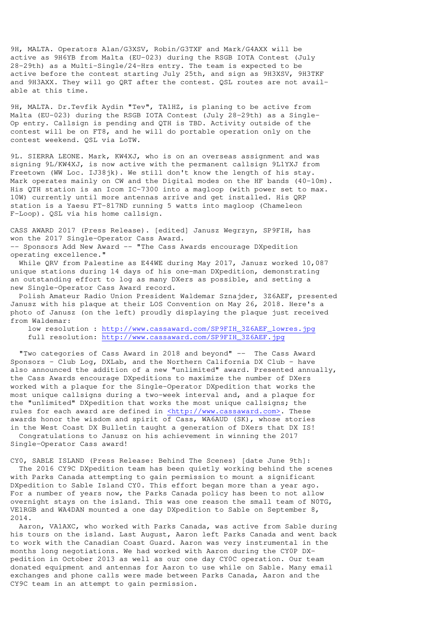9H, MALTA. Operators Alan/G3XSV, Robin/G3TXF and Mark/G4AXX will be active as 9H6YB from Malta (EU-023) during the RSGB IOTA Contest (July 28-29th) as a Multi-Single/24-Hrs entry. The team is expected to be active before the contest starting July 25th, and sign as 9H3XSV, 9H3TKF and 9H3AXX. They will go QRT after the contest. QSL routes are not available at this time.

9H, MALTA. Dr.Tevfik Aydin "Tev", TA1HZ, is planing to be active from Malta (EU-023) during the RSGB IOTA Contest (July 28-29th) as a Single-Op entry. Callsign is pending and QTH is TBD. Activity outside of the contest will be on FT8, and he will do portable operation only on the contest weekend. QSL via LoTW.

9L. SIERRA LEONE. Mark, KW4XJ, who is on an overseas assignment and was signing 9L/KW4XJ, is now active with the permanent callsign 9L1YXJ from Freetown (WW Loc. IJ38jk). We still don't know the length of his stay. Mark operates mainly on CW and the Digital modes on the HF bands (40-10m). His QTH station is an Icom IC-7300 into a magloop (with power set to max. 10W) currently until more antennas arrive and get installed. His QRP station is a Yaesu FT-817ND running 5 watts into magloop (Chameleon F-Loop). QSL via his home callsign.

CASS AWARD 2017 (Press Release). [edited] Janusz Wegrzyn, SP9FIH, has won the 2017 Single-Operator Cass Award. -- Sponsors Add New Award -- "The Cass Awards encourage DXpedition operating excellence."

 While QRV from Palestine as E44WE during May 2017, Janusz worked 10,087 unique stations during 14 days of his one-man DXpedition, demonstrating an outstanding effort to log as many DXers as possible, and setting a new Single-Operator Cass Award record.

 Polish Amateur Radio Union President Waldemar Sznajder, 3Z6AEF, presented Janusz with his plaque at their LOS Convention on May 26, 2018. Here's a photo of Janusz (on the left) proudly displaying the plaque just received from Waldemar:

 low resolution : http://www.cassaward.com/SP9FIH\_3Z6AEF\_lowres.jpg full resolution: http://www.cassaward.com/SP9FIH\_3Z6AEF.jpg

 "Two categories of Cass Award in 2018 and beyond" -- The Cass Award Sponsors – Club Log, DXLab, and the Northern California DX Club – have also announced the addition of a new "unlimited" award. Presented annually, the Cass Awards encourage DXpeditions to maximize the number of DXers worked with a plaque for the Single-Operator DXpedition that works the most unique callsigns during a two-week interval and, and a plaque for the "unlimited" DXpedition that works the most unique callsigns; the rules for each award are defined in <http://www.cassaward.com>. These awards honor the wisdom and spirit of Cass, WA6AUD (SK), whose stories in the West Coast DX Bulletin taught a generation of DXers that DX IS!

 Congratulations to Janusz on his achievement in winning the 2017 Single-Operator Cass award!

CY0, SABLE ISLAND (Press Release: Behind The Scenes) [date June 9th]: The 2016 CY9C DXpedition team has been quietly working behind the scenes with Parks Canada attempting to gain permission to mount a significant DXpedition to Sable Island CY0. This effort began more than a year ago. For a number of years now, the Parks Canada policy has been to not allow overnight stays on the island. This was one reason the small team of N0TG, VE1RGB and WA4DAN mounted a one day DXpedition to Sable on September 8, 2014.

 Aaron, VA1AXC, who worked with Parks Canada, was active from Sable during his tours on the island. Last August, Aaron left Parks Canada and went back to work with the Canadian Coast Guard. Aaron was very instrumental in the months long negotiations. We had worked with Aaron during the CY0P DXpedition in October 2013 as well as our one day CY0C operation. Our team donated equipment and antennas for Aaron to use while on Sable. Many email exchanges and phone calls were made between Parks Canada, Aaron and the CY9C team in an attempt to gain permission.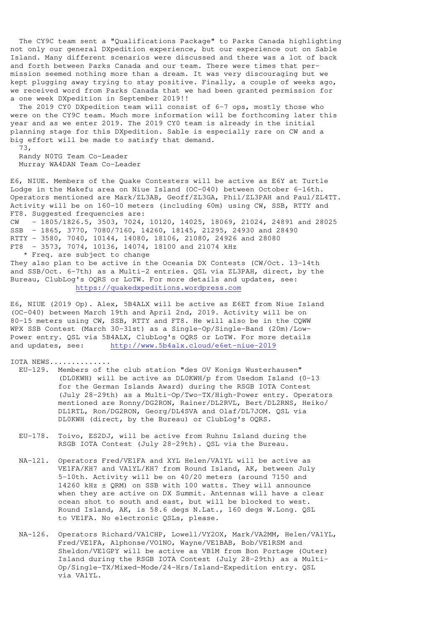The CY9C team sent a "Qualifications Package" to Parks Canada highlighting not only our general DXpedition experience, but our experience out on Sable Island. Many different scenarios were discussed and there was a lot of back and forth between Parks Canada and our team. There were times that permission seemed nothing more than a dream. It was very discouraging but we kept plugging away trying to stay positive. Finally, a couple of weeks ago, we received word from Parks Canada that we had been granted permission for a one week DXpedition in September 2019!!

 The 2019 CY0 DXpedition team will consist of 6-7 ops, mostly those who were on the CY9C team. Much more information will be forthcoming later this year and as we enter 2019. The 2019 CY0 team is already in the initial planning stage for this DXpedition. Sable is especially rare on CW and a big effort will be made to satisfy that demand.

 73, Randy N0TG Team Co-Leader Murray WA4DAN Team Co-Leader

E6, NIUE. Members of the Quake Contesters will be active as E6Y at Turtle Lodge in the Makefu area on Niue Island (OC-040) between October 6-16th. Operators mentioned are Mark/ZL3AB, Geoff/ZL3GA, Phil/ZL3PAH and Paul/ZL4TT. Activity will be on 160-10 meters (including 60m) using CW, SSB, RTTY and FT8. Suggested frequencies are: CW - 1805/1826.5, 3503, 7024, 10120, 14025, 18069, 21024, 24891 and 28025 SSB - 1865, 3770, 7080/7160, 14260, 18145, 21295, 24930 and 28490 RTTY - 3580, 7040, 10144, 14080, 18106, 21080, 24926 and 28080 FT8 - 3573, 7074, 10136, 14074, 18100 and 21074 kHz \* Freq. are subject to change

They also plan to be active in the Oceania DX Contests (CW/Oct. 13-14th and SSB/Oct. 6-7th) as a Multi-2 entries. QSL via ZL3PAH, direct, by the Bureau, ClubLog's OQRS or LoTW. For more details and updates, see: https://quakedxpeditions.wordpress.com

E6, NIUE (2019 Op). Alex, 5B4ALX will be active as E6ET from Niue Island (OC-040) between March 19th and April 2nd, 2019. Activity will be on 80-15 meters using CW, SSB, RTTY and FT8. He will also be in the CQWW WPX SSB Contest (March 30-31st) as a Single-Op/Single-Band (20m)/Low-Power entry. QSL via 5B4ALX, ClubLog's OQRS or LoTW. For more details and updates, see: http://www.5b4alx.cloud/e6et-niue-2019

IOTA NEWS..............

- EU-129. Members of the club station "des OV Konigs Wusterhausen" (DL0KWH) will be active as DL0KWH/p from Usedom Island (0-13 for the German Islands Award) during the RSGB IOTA Contest (July 28-29th) as a Multi-Op/Two-TX/High-Power entry. Operators mentioned are Ronny/DG2RON, Rainer/DL2RVL, Bert/DL2RNS, Heiko/ DL1RTL, Ron/DG2RON, Georg/DL4SVA and Olaf/DL7JOM. QSL via DL0KWH (direct, by the Bureau) or ClubLog's OQRS.
- EU-178. Toivo, ES2DJ, will be active from Ruhnu Island during the RSGB IOTA Contest (July 28-29th). QSL via the Bureau.
- NA-121. Operators Fred/VE1FA and XYL Helen/VA1YL will be active as VE1FA/KH7 and VA1YL/KH7 from Round Island, AK, between July 5-10th. Activity will be on 40/20 meters (around 7150 and 14260 kHz ± QRM) on SSB with 100 watts. They will announce when they are active on DX Summit. Antennas will have a clear ocean shot to south and east, but will be blocked to west. Round Island, AK, is 58.6 degs N.Lat., 160 degs W.Long. QSL to VE1FA. No electronic QSLs, please.
- NA-126. Operators Richard/VA1CHP, Lowell/VY2OX, Mark/VA2MM, Helen/VA1YL, Fred/VE1FA, Alphonse/VO1NO, Wayne/VE1BAB, Bob/VE1RSM and Sheldon/VE1GPY will be active as VB1M from Bon Portage (Outer) Island during the RSGB IOTA Contest (July 28-29th) as a Multi- Op/Single-TX/Mixed-Mode/24-Hrs/Island-Expedition entry. QSL via VA1YL.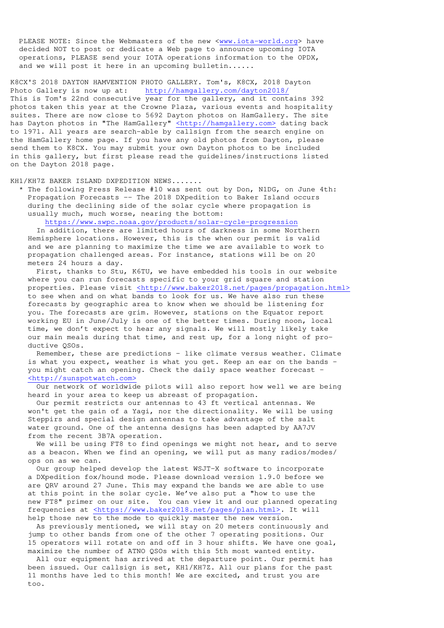PLEASE NOTE: Since the Webmasters of the new <www.iota-world.org> have decided NOT to post or dedicate a Web page to announce upcoming IOTA operations, PLEASE send your IOTA operations information to the OPDX, and we will post it here in an upcoming bulletin......

K8CX'S 2018 DAYTON HAMVENTION PHOTO GALLERY. Tom's, K8CX, 2018 Dayton Photo Gallery is now up at: http://hamgallery.com/dayton2018/ This is Tom's 22nd consecutive  $\overline{year}$  for the gallery, and it contains 392 photos taken this year at the Crowne Plaza, various events and hospitality suites. There are now close to 5692 Dayton photos on HamGallery. The site has Dayton photos in "The HamGallery" <http://hamgallery.com> dating back to 1971. All years are search-able by callsign from the search engine on the HamGallery home page. If you have any old photos from Dayton, please send them to K8CX. You may submit your own Dayton photos to be included in this gallery, but first please read the guidelines/instructions listed on the Dayton 2018 page.

## KH1/KH7Z BAKER ISLAND DXPEDITION NEWS.......

 \* The following Press Release #10 was sent out by Don, N1DG, on June 4th: Propagation Forecasts -- The 2018 DXpedition to Baker Island occurs during the declining side of the solar cycle where propagation is usually much, much worse, nearing the bottom:

https://www.swpc.noaa.gov/products/solar-cycle-progression

 In addition, there are limited hours of darkness in some Northern Hemisphere locations. However, this is the when our permit is valid and we are planning to maximize the time we are available to work to propagation challenged areas. For instance, stations will be on 20 meters 24 hours a day.

 First, thanks to Stu, K6TU, we have embedded his tools in our website where you can run forecasts specific to your grid square and station properties. Please visit <http://www.baker2018.net/pages/propagation.html> to see when and on what bands to look for us. We have also run these forecasts by geographic area to know when we should be listening for you. The forecasts are grim. However, stations on the Equator report working EU in June/July is one of the better times. During noon, local time, we don't expect to hear any signals. We will mostly likely take our main meals during that time, and rest up, for a long night of pro ductive QSOs.

 Remember, these are predictions – like climate versus weather. Climate is what you expect, weather is what you get. Keep an ear on the bands – you might catch an opening. Check the daily space weather forecast - <http://sunspotwatch.com>

 Our network of worldwide pilots will also report how well we are being heard in your area to keep us abreast of propagation.

 Our permit restricts our antennas to 43 ft vertical antennas. We won't get the gain of a Yagi, nor the directionality. We will be using Steppirs and special design antennas to take advantage of the salt water ground. One of the antenna designs has been adapted by AA7JV from the recent 3B7A operation.

We will be using FT8 to find openings we might not hear, and to serve as a beacon. When we find an opening, we will put as many radios/modes/ ops on as we can.

 Our group helped develop the latest WSJT-X software to incorporate a DXpedition fox/hound mode. Please download version 1.9.0 before we are QRV around 27 June. This may expand the bands we are able to use at this point in the solar cycle. We've also put a "how to use the new FT8" primer on our site. You can view it and our planned operating frequencies at <https://www.baker2018.net/pages/plan.html>. It will help those new to the mode to quickly master the new version.

 As previously mentioned, we will stay on 20 meters continuously and jump to other bands from one of the other 7 operating positions. Our 15 operators will rotate on and off in 3 hour shifts. We have one goal, maximize the number of ATNO QSOs with this 5th most wanted entity.

 All our equipment has arrived at the departure point. Our permit has been issued. Our callsign is set, KH1/KH7Z. All our plans for the past 11 months have led to this month! We are excited, and trust you are too.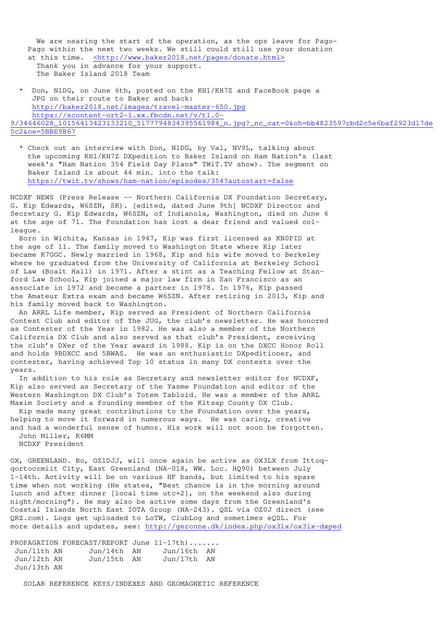We are nearing the start of the operation, as the ops leave for Pago- Pago within the next two weeks. We still could still use your donation at this time. <http://www.baker2018.net/pages/donate.html> Thank you in advance for your support. The Baker Island 2018 Team

 \* Don, N1DG, on June 6th, posted on the KH1/KH7Z and FaceBook page a JPG on their route to Baker and back: http://baker2018.net/images/travel-master-650.jpg https://scontent-ort2-1.xx.fbcdn.net/v/t1.0- 9/34646028\_10156413423133210\_5177794834395561984\_n.jpg?\_nc\_cat=0&oh=bb4823597cbd2c5e6baf2923d17de 5c2&oe=5BBE9B67

 \* Check out an interview with Don, N1DG, by Val, NV9L, talking about the upcoming KH1/KH7Z DXpedition to Baker Island on Ham Nation's (last week's "Ham Nation 354 Field Day Plans" TWiT.TV show). The segment on Baker Island is about 44 min. into the talk: https://twit.tv/shows/ham-nation/episodes/354?autostart=false

NCDXF NEWS (Press Release -- Northern California DX Foundation Secretary, G. Kip Edwards, W6SZN, SK). [edited, dated June 9th] NCDXF Director and Secretary G. Kip Edwards, W6SZN, of Indianola, Washington, died on June 6 at the age of 71. The Foundation has lost a dear friend and valued colleague.

 Born in Wichita, Kansas in 1947, Kip was first licensed as KN0PID at the age of 11. The family moved to Washington State where Kip later became K7GGC. Newly married in 1968, Kip and his wife moved to Berkeley where he graduated from the University of California at Berkeley School of Law (Boalt Hall) in 1971. After a stint as a Teaching Fellow at Stanford Law School, Kip joined a major law firm in San Francisco as an associate in 1972 and became a partner in 1978. In 1976, Kip passed the Amateur Extra exam and became W6SZN. After retiring in 2013, Kip and his family moved back to Washington.

 An ARRL Life member, Kip served as President of Northern California Contest Club and editor of The JUG, the club's newsletter. He was honored as Contester of the Year in 1982. He was also a member of the Northern California DX Club and also served as that club's President, receiving the club's DXer of the Year award in 1988. Kip is on the DXCC Honor Roll and holds 9BDXCC and 5BWAS. He was an enthusiastic DXpeditioner, and contester, having achieved Top 10 status in many DX contests over the years.

 In addition to his role as Secretary and newsletter editor for NCDXF, Kip also served as Secretary of the Yasme Foundation and editor of the Western Washington DX Club's Totem Tabloid. He was a member of the ARRL Maxim Society and a founding member of the Kitsap County DX Club.

 Kip made many great contributions to the Foundation over the years, helping to move it forward in numerous ways. He was caring, creative and had a wonderful sense of humor. His work will not soon be forgotten. John Miller, K6MM

NCDXF President

OX, GREENLAND. Bo, OZ1DJJ, will once again be active as OX3LX from Ittoqqortoormiit City, East Greenland (NA-018, WW. Loc. HQ90) between July 1-14th. Activity will be on various HF bands, but limited to his spare time when not working (He states, "Best chance is in the morning around lunch and after dinner [local time utc+2], on the weekend also during night/morning"). He may also be active some days from the Greenland's Coastal Islands North East IOTA Group (NA-243). QSL via OZ0J direct (see QRZ.com). Logs get uploaded to LoTW, ClubLog and sometimes eQSL. For more details and updates, see: http://geronne.dk/index.php/ox3lx/ox3lx-dxped

PROPAGATION FORECAST/REPORT June 11-17th)....... Jun/11th AN Jun/14th AN Jun/16th AN Jun/12th AN Jun/15th AN Jun/17th AN Jun/13th AN

SOLAR REFERENCE KEYS/INDEXES AND GEOMAGNETIC REFERENCE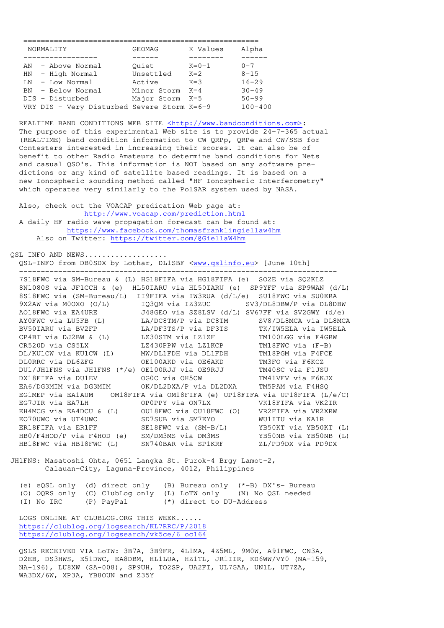| NORMALITY                                     | GEOMAG          | K Values    | Alpha       |
|-----------------------------------------------|-----------------|-------------|-------------|
|                                               |                 |             |             |
| AN - Above Normal                             | Ouiet           | $K = 0 - 1$ | $0 - 7$     |
| HN - High Normal                              | Unsettled       | $K=2$       | $8 - 15$    |
| $LN - Low Normal$                             | Active          | $K = 3$     | $16 - 29$   |
| BN - Below Normal                             | Minor Storm     | $K = 4$     | $30 - 49$   |
| DIS - Disturbed                               | Major Storm K=5 |             | $50 - 99$   |
| VRY DIS - Very Disturbed Severe Storm $K=6-9$ |                 |             | $100 - 400$ |

REALTIME BAND CONDITIONS WEB SITE <http://www.bandconditions.com>: The purpose of this experimental Web site is to provide 24-7-365 actual (REALTIME) band condition information to CW QRPp, QRPe and CW/SSB for Contesters interested in increasing their scores. It can also be of benefit to other Radio Amateurs to determine band conditions for Nets and casual QSO's. This information is NOT based on any software pre dictions or any kind of satellite based readings. It is based on a new Ionospheric sounding method called "HF Ionospheric Interferometry" which operates very similarly to the PolSAR system used by NASA.

 Also, check out the VOACAP predication Web page at: http://www.voacap.com/prediction.html A daily HF radio wave propagation forecast can be found at: https://www.facebook.com/thomasfranklingiellaw4hm Also on Twitter: https://twitter.com/@GiellaW4hm

QSL INFO AND NEWS................. QSL-INFO from DB0SDX by Lothar, DL1SBF <www.qslinfo.eu> [June 10th]

-------------------------------------------------------------------------

 7S18FWC via SM-Bureau & (L) HG18FIFA via HG18FIFA (e) SO2E via SQ2KLZ 8N1080S via JF1CCH & (e) HL50IARU via HL50IARU (e) SP9YFF via SP9WAN (d/L) 8S18FWC via (SM-Bureau/L) II9FIFA via IW3RUA (d/L/e) SU18FWC via SU0ERA 9X2AW via M0OXO (O/L) IQ3QM via IZ3ZUC SV3/DL8DBW/P via DL8DBW AO18FWC via EA4URE J48GEO via SZ8LSV (d/L) SV67FF via SV2GWY (d/e) AY0FWC via LU5FB (L) LA/DC8TM/P via DC8TM SV8/DL8MCA via DL8MCA BV50IARU via BV2FP LA/DF3TS/P via DF3TS TK/IW5ELA via IW5ELA CP4BT via DJ2BW & (L) LZ30STM via LZ1ZF TM100LGG via F4GRW CR520D via CS5LX LZ430PPW via LZ1KCP TM18FWC via (F-B) DL/KU1CW via KU1CW (L) MW/DL1FDH via DL1FDH TM18PGM via F4FCE DL0RRC via DL6ZFG OE100AKD via OE6AKD TM3FO via F6KCZ DU1/JH1FNS via JH1FNS (\*/e) OE100RJJ via OE9RJJ TM40SC via F1JSU DX18FIFA via DU1EV OG0C via OH5CW TM41VFV via F6KJX EA6/DG3MIM via DG3MIM OK/DL2DXA/P via DL2DXA TM5PAM via F4HSQ EG1MEP via EA1AUM OM18FIFA via OM18FIFA (e) UP18FIFA via UP18FIFA (L/e/C) EG7JIR via EA7LH OP0PPY via ON7LX VK18FIFA via VK2IR EH4MCG via EA4DCU & (L) OU18FWC via OU18FWC (O) VR2FIFA via VR2XRW EO70UWC via UT4UWC SD7SUB via SM7EYO WU1ITU via KA1R ER18FIFA via ER1FF SE18FWC via (SM-B/L) YB50KT via YB50KT (L) HB0/F4HOD/P via F4HOD (e) SM/DM3MS via DM3MS YB50NB via YB50NB (L) HB18FWC via HB18FWC (L) SN740BAR via SP1KRF ZL/PD9DX via PD9DX

JH1FNS: Masatoshi Ohta, 0651 Langka St. Purok-4 Brgy Lamot-2, Calauan-City, Laguna-Province, 4012, Philippines

 (e) eQSL only (d) direct only (B) Bureau only (\*-B) DX's- Bureau (O) OQRS only (C) ClubLog only (L) LoTW only (N) No QSL needed (I) No IRC (P) PayPal (\*) direct to DU-Address (\*) direct to DU-Address

 LOGS ONLINE AT CLUBLOG.ORG THIS WEEK...... https://clublog.org/logsearch/KL7RRC/P/2018 https://clublog.org/logsearch/vk5ce/6\_oc164

 QSLS RECEIVED VIA LoTW: 3B7A, 3B9FR, 4L1MA, 4Z5ML, 9M0W, A91FWC, CN3A, D2EB, DS3HWS, E51DWC, EA8DBM, HL1LUA, HZ1TL, JR1IIR, KD6WW/VY0 (NA-159, NA-196), LU8XW (SA-008), SP9UH, TO2SP, UA2FI, UL7GAA, UN1L, UT7ZA, WA3DX/6W, XP3A, YB8OUN and Z35Y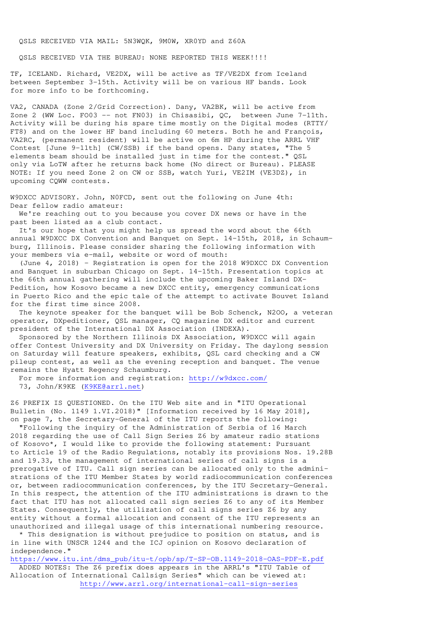QSLS RECEIVED VIA MAIL: 5N3WQK, 9M0W, XR0YD and Z60A

OSLS RECEIVED VIA THE BUREAU: NONE REPORTED THIS WEEK!!!!

TF, ICELAND. Richard, VE2DX, will be active as TF/VE2DX from Iceland between September 3-15th. Activity will be on various HF bands. Look for more info to be forthcoming.

VA2, CANADA (Zone 2/Grid Correction). Dany, VA2BK, will be active from Zone 2 (WW Loc. FO03 -- not FN03) in Chisasibi, QC, between June 7-11th. Activity will be during his spare time mostly on the Digital modes (RTTY/ FT8) and on the lower HF band including 60 meters. Both he and François, VA2RC, (permanent resident) will be active on 6m HP during the ARRL VHF Contest [June 9-11th] (CW/SSB) if the band opens. Dany states, "The 5 elements beam should be installed just in time for the contest." QSL only via LoTW after he returns back home (No direct or Bureau). PLEASE NOTE: If you need Zone 2 on CW or SSB, watch Yuri, VE2IM (VE3DZ), in upcoming CQWW contests.

W9DXCC ADVISORY. John, N0FCD, sent out the following on June 4th: Dear fellow radio amateur:

 We're reaching out to you because you cover DX news or have in the past been listed as a club contact.

 It's our hope that you might help us spread the word about the 66th annual W9DXCC DX Convention and Banquet on Sept. 14-15th, 2018, in Schaumburg, Illinois. Please consider sharing the following information with your members via e-mail, website or word of mouth:

 (June 4, 2018) – Registration is open for the 2018 W9DXCC DX Convention and Banquet in suburban Chicago on Sept. 14-15th. Presentation topics at the 66th annual gathering will include the upcoming Baker Island DX-Pedition, how Kosovo became a new DXCC entity, emergency communications in Puerto Rico and the epic tale of the attempt to activate Bouvet Island for the first time since 2008.

 The keynote speaker for the banquet will be Bob Schenck, N2OO, a veteran operator, DXpeditioner, QSL manager, CQ magazine DX editor and current president of the International DX Association (INDEXA).

 Sponsored by the Northern Illinois DX Association, W9DXCC will again offer Contest University and DX University on Friday. The daylong session on Saturday will feature speakers, exhibits, QSL card checking and a CW pileup contest, as well as the evening reception and banquet. The venue remains the Hyatt Regency Schaumburg.

 For more information and registration: http://w9dxcc.com/ 73, John/K9KE (K9KE@arrl.net)

Z6 PREFIX IS QUESTIONED. On the ITU Web site and in "ITU Operational Bulletin (No. 1149 1.VI.2018)" [Information received by 16 May 2018], on page 7, the Secretary-General of the ITU reports the following:

 "Following the inquiry of the Administration of Serbia of 16 March 2018 regarding the use of Call Sign Series Z6 by amateur radio stations of Kosovo\*, I would like to provide the following statement: Pursuant to Article 19 of the Radio Regulations, notably its provisions Nos. 19.28B and 19.33, the management of international series of call signs is a prerogative of ITU. Call sign series can be allocated only to the administrations of the ITU Member States by world radiocommunication conferences or, between radiocommunication conferences, by the ITU Secretary-General. In this respect, the attention of the ITU administrations is drawn to the fact that ITU has not allocated call sign series Z6 to any of its Member States. Consequently, the utilization of call signs series Z6 by any entity without a formal allocation and consent of the ITU represents an unauthorized and illegal usage of this international numbering resource.

 \* This designation is without prejudice to position on status, and is in line with UNSCR 1244 and the ICJ opinion on Kosovo declaration of independence."

https://www.itu.int/dms\_pub/itu-t/opb/sp/T-SP-OB.1149-2018-OAS-PDF-E.pdf

 ADDED NOTES: The Z6 prefix does appears in the ARRL's "ITU Table of Allocation of International Callsign Series" which can be viewed at: http://www.arrl.org/international-call-sign-series